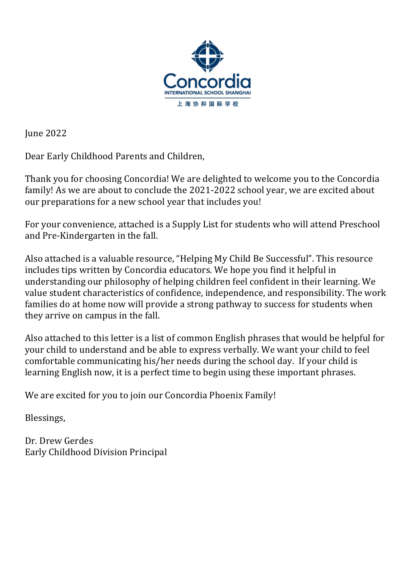

**June 2022** 

Dear Early Childhood Parents and Children,

Thank you for choosing Concordia! We are delighted to welcome you to the Concordia family! As we are about to conclude the 2021-2022 school year, we are excited about our preparations for a new school year that includes you!

For your convenience, attached is a Supply List for students who will attend Preschool and Pre-Kindergarten in the fall.

Also attached is a valuable resource, "Helping My Child Be Successful". This resource includes tips written by Concordia educators. We hope you find it helpful in understanding our philosophy of helping children feel confident in their learning. We value student characteristics of confidence, independence, and responsibility. The work families do at home now will provide a strong pathway to success for students when they arrive on campus in the fall.

Also attached to this letter is a list of common English phrases that would be helpful for your child to understand and be able to express verbally. We want your child to feel comfortable communicating his/her needs during the school day. If your child is learning English now, it is a perfect time to begin using these important phrases.

We are excited for you to join our Concordia Phoenix Family!

Blessings, 

Dr. Drew Gerdes Early Childhood Division Principal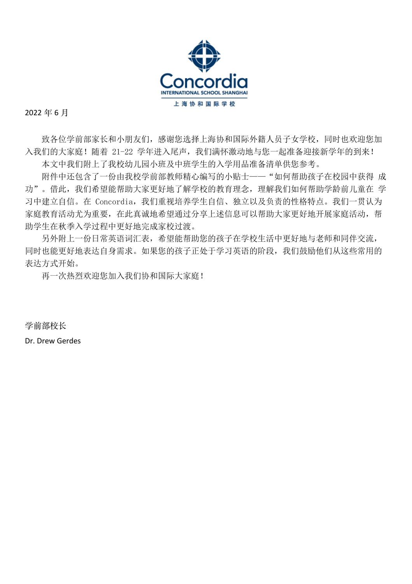

2022年6月

致各位学前部家长和小朋友们,感谢您选择上海协和国际外籍人员子女学校,同时也欢迎您加 入我们的大家庭! 随着 21-22 学年进入尾声, 我们满怀激动地与您一起准备迎接新学年的到来!

本文中我们附上了我校幼儿园小班及中班学生的入学用品准备清单供您参考。

附件中还包含了一份由我校学前部教师精心编写的小贴士——"如何帮助孩子在校园中获得 成 功"。借此,我们希望能帮助大家更好地了解学校的教育理念,理解我们如何帮助学龄前儿童在 学 习中建立自信。在 Concordia,我们重视培养学生自信、独立以及负责的性格特点。我们一贯认为 家庭教育活动尤为重要,在此真诚地希望通过分享上述信息可以帮助大家更好地开展家庭活动,帮 助学生在秋季入学过程中更好地完成家校过渡。

另外附上一份日常英语词汇表,希望能帮助您的孩子在学校生活中更好地与老师和同伴交流, 同时也能更好地表达自身需求。如果您的孩子正处于学习英语的阶段,我们鼓励他们从这些常用的 表达方式开始。

再一次热烈欢迎您加入我们协和国际大家庭!

学前部校长 Dr. Drew Gerdes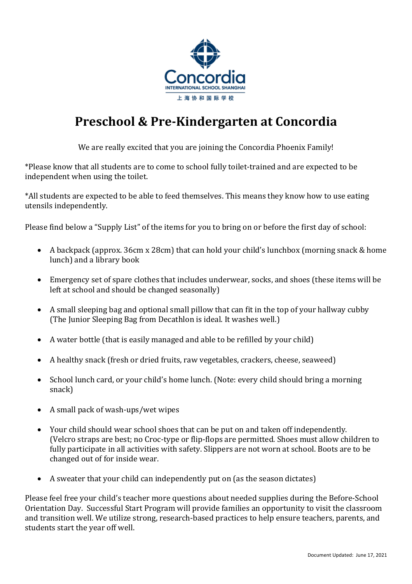

# **Preschool & Pre-Kindergarten at Concordia**

We are really excited that you are joining the Concordia Phoenix Family!

\*Please know that all students are to come to school fully toilet-trained and are expected to be independent when using the toilet.

\*All students are expected to be able to feed themselves. This means they know how to use eating utensils independently.

Please find below a "Supply List" of the items for you to bring on or before the first day of school:

- A backpack (approx. 36cm x 28cm) that can hold your child's lunchbox (morning snack & home lunch) and a library book
- Emergency set of spare clothes that includes underwear, socks, and shoes (these items will be left at school and should be changed seasonally)
- A small sleeping bag and optional small pillow that can fit in the top of your hallway cubby (The Junior Sleeping Bag from Decathlon is ideal. It washes well.)
- A water bottle (that is easily managed and able to be refilled by your child)
- A healthy snack (fresh or dried fruits, raw vegetables, crackers, cheese, seaweed)
- School lunch card, or your child's home lunch. (Note: every child should bring a morning snack)
- A small pack of wash-ups/wet wipes
- Your child should wear school shoes that can be put on and taken off independently. (Velcro straps are best; no Croc-type or flip-flops are permitted. Shoes must allow children to fully participate in all activities with safety. Slippers are not worn at school. Boots are to be changed out of for inside wear.
- A sweater that your child can independently put on (as the season dictates)

Please feel free your child's teacher more questions about needed supplies during the Before-School Orientation Day. Successful Start Program will provide families an opportunity to visit the classroom and transition well. We utilize strong, research-based practices to help ensure teachers, parents, and students start the year off well.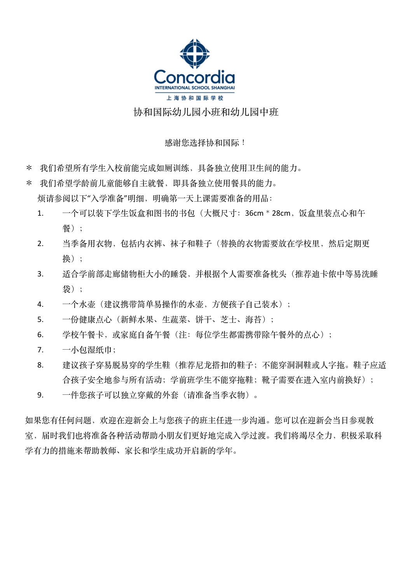

## 协和国际幼儿园小班和幼儿园中班

### 感谢您洗择协和国际!

- \* 我们希望所有学生入校前能完成如厕训练,具备独立使用卫生间的能力。
- \* 我们希望学龄前儿童能够自主就餐,即具备独立使用餐具的能力。 烦请参阅以下"⼊学准备"明细,明确第⼀天上课需要准备的⽤品:
	- 1. 一个可以装下学生饭盒和图书的书包(大概尺寸: 36cm \* 28cm, 饭盒里装点心和午 餐);
	- 2. 当季备用衣物,包括内衣裤、袜子和鞋子(替换的衣物需要放在学校里,然后定期更 换);
	- 3. 话合学前部走廊储物柜大小的睡袋,并根据个人需要准备枕头(推荐迪卡侬中等易洗睡 袋);
	- 4. 一个水壶(建议携带简单易操作的水壶,方便孩子自己装水);
	- 5. 一份健康点心(新鲜水果、生蔬菜、饼干、芝士、海苔);
	- 6. 学校午餐卡,或家庭自备午餐(注:每位学生都需携带除午餐外的点心);
	- 7. 一小包湿纸巾;
	- 8. 建议孩子穿易脱易穿的学生鞋(推荐尼龙搭扣的鞋子;不能穿洞洞鞋或人字拖。鞋子应适 合孩子安全地参与所有活动; 学前班学生不能穿拖鞋; 靴子需要在进入室内前换好);
	- 9. 一件您孩子可以独立穿戴的外套(请准备当季衣物)。

如果您有任何问题,欢迎在迎新会上与您孩子的班主任进一步沟通。您可以在迎新会当日参观教 室, 届时我们也将准备各种活动帮助小朋友们更好地完成入学过渡。我们将竭尽全力, 积极采取科 学有力的措施来帮助教师、家长和学生成功开启新的学年。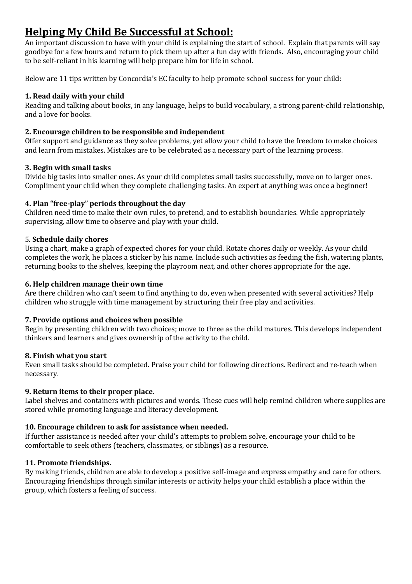## **Helping My Child Be Successful at School:**

An important discussion to have with your child is explaining the start of school. Explain that parents will say goodbye for a few hours and return to pick them up after a fun day with friends. Also, encouraging your child to be self-reliant in his learning will help prepare him for life in school.

Below are 11 tips written by Concordia's EC faculty to help promote school success for your child:

### **1. Read daily with your child**

Reading and talking about books, in any language, helps to build vocabulary, a strong parent-child relationship, and a love for books.

### **2. Encourage children to be responsible and independent**

Offer support and guidance as they solve problems, yet allow your child to have the freedom to make choices and learn from mistakes. Mistakes are to be celebrated as a necessary part of the learning process.

#### **3. Begin with small tasks**

Divide big tasks into smaller ones. As your child completes small tasks successfully, move on to larger ones. Compliment your child when they complete challenging tasks. An expert at anything was once a beginner!

## **4. Plan "free-play" periods throughout the day**

Children need time to make their own rules, to pretend, and to establish boundaries. While appropriately supervising, allow time to observe and play with your child.

#### 5. **Schedule daily chores**

Using a chart, make a graph of expected chores for your child. Rotate chores daily or weekly. As your child completes the work, he places a sticker by his name. Include such activities as feeding the fish, watering plants, returning books to the shelves, keeping the playroom neat, and other chores appropriate for the age.

#### **6.** Help children manage their own time

Are there children who can't seem to find anything to do, even when presented with several activities? Help children who struggle with time management by structuring their free play and activities.

#### **7. Provide options and choices when possible**

Begin by presenting children with two choices; move to three as the child matures. This develops independent thinkers and learners and gives ownership of the activity to the child.

#### **8. Finish what you start**

Even small tasks should be completed. Praise your child for following directions. Redirect and re-teach when necessary.

## **9. Return items to their proper place.**

Label shelves and containers with pictures and words. These cues will help remind children where supplies are stored while promoting language and literacy development.

## 10. Encourage children to ask for assistance when needed.

If further assistance is needed after your child's attempts to problem solve, encourage your child to be comfortable to seek others (teachers, classmates, or siblings) as a resource.

## **11. Promote friendships.**

By making friends, children are able to develop a positive self-image and express empathy and care for others. Encouraging friendships through similar interests or activity helps your child establish a place within the group, which fosters a feeling of success.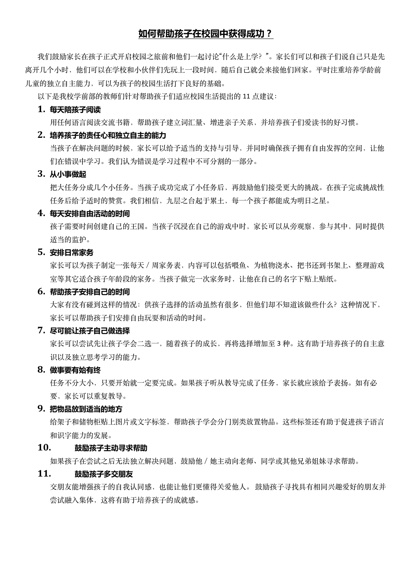## **如何帮助孩子在校园中获得成功?**

我们鼓励家长在孩子正式开启校园之旅前和他们一起讨论"什么是上学?"。家长们可以和孩子们说自己只是先 离开几个小时,他们可以在学校和小伙伴们先玩上一段时间,随后自己就会来接他们回家。平时注重培养学龄前 儿童的独立自主能力,可以为孩子的校园生活打下良好的基础。

以下是我校学前部的教师们针对帮助孩子们适应校园生活提出的 11 点建议:

#### **1. 每天陪孩子阅读**

用任何语言阅读交流书籍、帮助孩子建立词汇量、增进亲子关系,并培养孩子们爱读书的好习惯。

#### **2. 培养孩子的责任心和独立自主的能力**

当孩子在解决问题的时候,家长可以给予适当的支持与引导,并同时确保孩子拥有自由发挥的空间,让他 们在错误中学习。我们认为错误是学习过程中不可分割的一部分。

#### **3. 从小事做起**

把大任务分成几个个仟务。当孩子成功完成了小任务后,再鼓励他们接受更大的挑战。在孩子完成挑战性 任务后给予适时的赞赏。我们相信,九层之台起于累土,每一个孩子都能成为明日之星。

#### **4. 每天安排自由活动的时间**

孩子需要时间创建自己的王国。当孩子沉浸在自己的游戏中时,家长可以从旁观察,参与其中,同时提供 适当的监护。

#### **5. 安排日常家务**

家长可以为孩子制定一张每天/周家务表,内容可以包括喂鱼、为植物浇水、把书还到书架上、整理游戏 室等其它适合孩⼦年龄段的家务。当孩⼦做完⼀次家务时,让他在⾃⼰的名字下贴上贴纸。

### **6. 帮助孩子安排自己的时间**

大家有没有碰到这样的情况: 供孩子选择的活动虽然有很多, 但他们却不知道该做些什么? 这种情况下, 家长可以帮助孩子们安排自由玩耍和活动的时间。

#### **7. 尽可能让孩子自己做选择**

家长可以尝试先让孩子学会二选一,随着孩子的成长,再将选择增加至3种。这有助于培养孩子的自主意 识以及独立思考学习的能力。

#### **8. 做事要有始有终**

任务不分大小,只要开始就一定要完成。如果孩子听从教导完成了任务,家长就应该给予表扬。如有必 要,家长可以重复教导。

#### **9. 把物品放到适当的地方**

给架子和储物柜贴上图片或文字标签,帮助孩子学会分门别类放置物品。这些标签还有助于促进孩子语言 和识字能力的发展。

### **10. 鼓励孩子主动寻求帮助**

如果孩子在尝试之后无法独立解决问题,鼓励他/她主动向老师、同学或其他兄弟姐妹寻求帮助。

#### **11. 鼓励孩子多交朋友**

交朋友能增强孩子的自我认同感,也能让他们更懂得关爱他人。 鼓励孩子寻找具有相同兴趣爱好的朋友并 尝试融入集体, 这将有助于培养孩子的成就感。